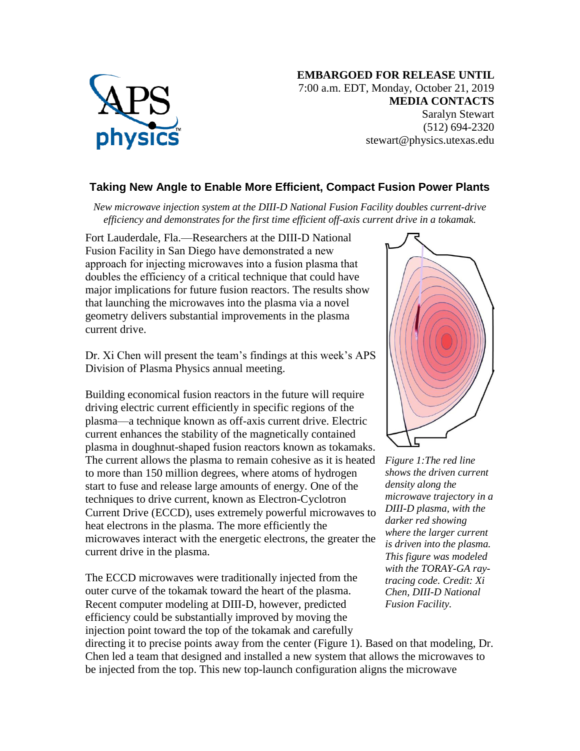

## **Taking New Angle to Enable More Efficient, Compact Fusion Power Plants**

*New microwave injection system at the DIII-D National Fusion Facility doubles current-drive efficiency and demonstrates for the first time efficient off-axis current drive in a tokamak.*

Fort Lauderdale, Fla.—Researchers at the DIII-D National Fusion Facility in San Diego have demonstrated a new approach for injecting microwaves into a fusion plasma that doubles the efficiency of a critical technique that could have major implications for future fusion reactors. The results show that launching the microwaves into the plasma via a novel geometry delivers substantial improvements in the plasma current drive.

Dr. Xi Chen will present the team's findings at this week's APS Division of Plasma Physics annual meeting.

Building economical fusion reactors in the future will require driving electric current efficiently in specific regions of the plasma—a technique known as off-axis current drive. Electric current enhances the stability of the magnetically contained plasma in doughnut-shaped fusion reactors known as tokamaks. The current allows the plasma to remain cohesive as it is heated to more than 150 million degrees, where atoms of hydrogen start to fuse and release large amounts of energy. One of the techniques to drive current, known as Electron-Cyclotron Current Drive (ECCD), uses extremely powerful microwaves to heat electrons in the plasma. The more efficiently the microwaves interact with the energetic electrons, the greater the current drive in the plasma.

The ECCD microwaves were traditionally injected from the outer curve of the tokamak toward the heart of the plasma. Recent computer modeling at DIII-D, however, predicted efficiency could be substantially improved by moving the injection point toward the top of the tokamak and carefully



*Figure 1:The red line shows the driven current density along the microwave trajectory in a DIII-D plasma, with the darker red showing where the larger current is driven into the plasma. This figure was modeled with the TORAY-GA raytracing code. Credit: Xi Chen, DIII-D National Fusion Facility.*

directing it to precise points away from the center (Figure 1). Based on that modeling, Dr. Chen led a team that designed and installed a new system that allows the microwaves to be injected from the top. This new top-launch configuration aligns the microwave